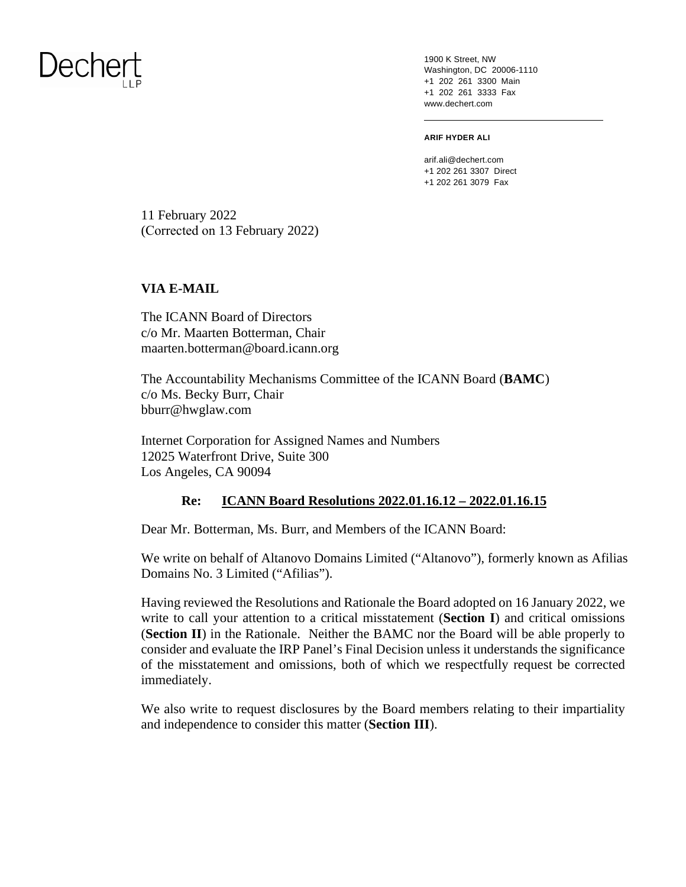1900 K Street, NW Washington, DC 20006-1110 +1 202 261 3300 Main +1 202 261 3333 Fax www.dechert.com

#### **ARIF HYDER ALI**

arif.ali@dechert.com +1 202 261 3307 Direct +1 202 261 3079 Fax

11 February 2022 (Corrected on 13 February 2022)

#### **VIA E-MAIL**

The ICANN Board of Directors c/o Mr. Maarten Botterman, Chair maarten.botterman@board.icann.org

The Accountability Mechanisms Committee of the ICANN Board (**BAMC**) c/o Ms. Becky Burr, Chair bburr@hwglaw.com

Internet Corporation for Assigned Names and Numbers 12025 Waterfront Drive, Suite 300 Los Angeles, CA 90094

#### **Re: ICANN Board Resolutions 2022.01.16.12 – 2022.01.16.15**

Dear Mr. Botterman, Ms. Burr, and Members of the ICANN Board:

We write on behalf of Altanovo Domains Limited ("Altanovo"), formerly known as Afilias Domains No. 3 Limited ("Afilias").

Having reviewed the Resolutions and Rationale the Board adopted on 16 January 2022, we write to call your attention to a critical misstatement (**Section I**) and critical omissions (**Section II**) in the Rationale. Neither the BAMC nor the Board will be able properly to consider and evaluate the IRP Panel's Final Decision unless it understands the significance of the misstatement and omissions, both of which we respectfully request be corrected immediately.

We also write to request disclosures by the Board members relating to their impartiality and independence to consider this matter (**Section III**).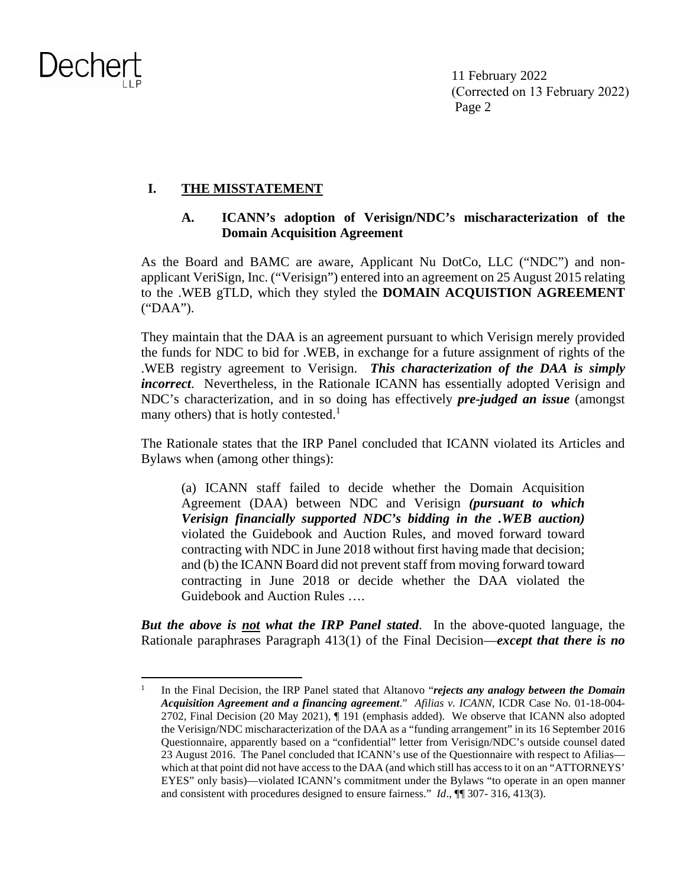11 February 2022 (Corrected on 13 February 2022) Page 2

#### **I. THE MISSTATEMENT**

#### **A. ICANN's adoption of Verisign/NDC's mischaracterization of the Domain Acquisition Agreement**

As the Board and BAMC are aware, Applicant Nu DotCo, LLC ("NDC") and nonapplicant VeriSign, Inc. ("Verisign") entered into an agreement on 25 August 2015 relating to the .WEB gTLD, which they styled the **DOMAIN ACQUISTION AGREEMENT**  ("DAA").

They maintain that the DAA is an agreement pursuant to which Verisign merely provided the funds for NDC to bid for .WEB, in exchange for a future assignment of rights of the .WEB registry agreement to Verisign. *This characterization of the DAA is simply incorrect*. Nevertheless, in the Rationale ICANN has essentially adopted Verisign and NDC's characterization, and in so doing has effectively *pre-judged an issue* (amongst many others) that is hotly contested.<sup>1</sup>

The Rationale states that the IRP Panel concluded that ICANN violated its Articles and Bylaws when (among other things):

(a) ICANN staff failed to decide whether the Domain Acquisition Agreement (DAA) between NDC and Verisign *(pursuant to which Verisign financially supported NDC's bidding in the .WEB auction)* violated the Guidebook and Auction Rules, and moved forward toward contracting with NDC in June 2018 without first having made that decision; and (b) the ICANN Board did not prevent staff from moving forward toward contracting in June 2018 or decide whether the DAA violated the Guidebook and Auction Rules ….

*But the above is not what the IRP Panel stated*. In the above-quoted language, the Rationale paraphrases Paragraph 413(1) of the Final Decision—*except that there is no* 

<sup>1</sup> In the Final Decision, the IRP Panel stated that Altanovo "*rejects any analogy between the Domain Acquisition Agreement and a financing agreement*." *Afilias v. ICANN*, ICDR Case No. 01-18-004- 2702, Final Decision (20 May 2021), ¶ 191 (emphasis added). We observe that ICANN also adopted the Verisign/NDC mischaracterization of the DAA as a "funding arrangement" in its 16 September 2016 Questionnaire, apparently based on a "confidential" letter from Verisign/NDC's outside counsel dated 23 August 2016. The Panel concluded that ICANN's use of the Questionnaire with respect to Afilias which at that point did not have access to the DAA (and which still has access to it on an "ATTORNEYS" EYES" only basis)—violated ICANN's commitment under the Bylaws "to operate in an open manner and consistent with procedures designed to ensure fairness." *Id*., ¶¶ 307- 316, 413(3).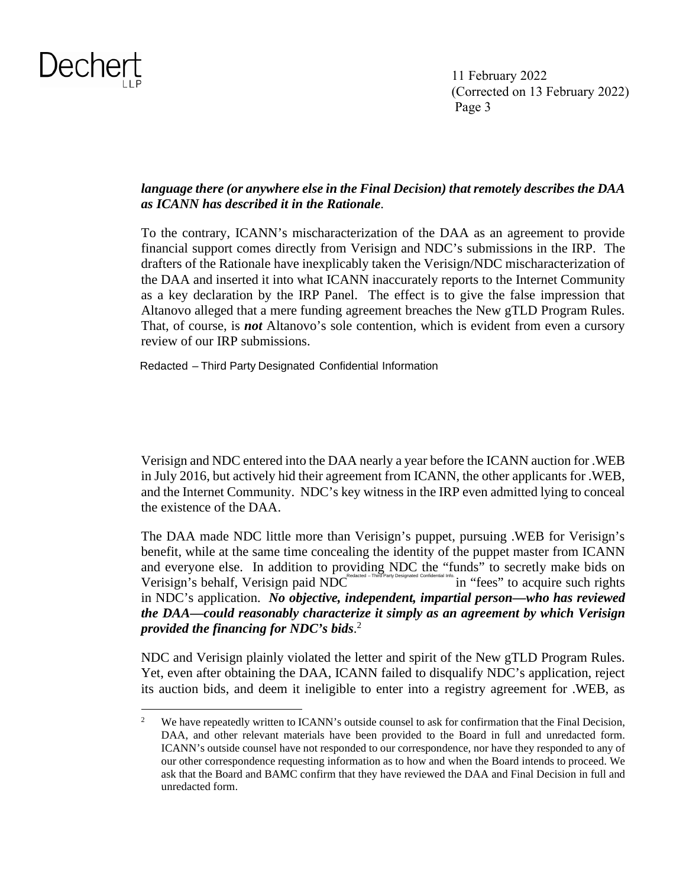

#### *language there (or anywhere else in the Final Decision) that remotely describes the DAA as ICANN has described it in the Rationale*.

To the contrary, ICANN's mischaracterization of the DAA as an agreement to provide financial support comes directly from Verisign and NDC's submissions in the IRP. The drafters of the Rationale have inexplicably taken the Verisign/NDC mischaracterization of the DAA and inserted it into what ICANN inaccurately reports to the Internet Community as a key declaration by the IRP Panel. The effect is to give the false impression that Altanovo alleged that a mere funding agreement breaches the New gTLD Program Rules. That, of course, is *not* Altanovo's sole contention, which is evident from even a cursory review of our IRP submissions.

Redacted – Third Party Designated Confidential Information

Verisign and NDC entered into the DAA nearly a year before the ICANN auction for .WEB in July 2016, but actively hid their agreement from ICANN, the other applicants for .WEB, and the Internet Community. NDC's key witness in the IRP even admitted lying to conceal the existence of the DAA.

The DAA made NDC little more than Verisign's puppet, pursuing .WEB for Verisign's benefit, while at the same time concealing the identity of the puppet master from ICANN and everyone else. In addition to providing NDC the "funds" to secretly make bids on Verisign's behalf, Verisign paid NDC in "fees" to acquire such rights in NDC's application. *No objective, independent, impartial person—who has reviewed the DAA—could reasonably characterize it simply as an agreement by which Verisign provided the financing for NDC's bids*. 2 Redacted – Third Party Designated Confidential Info.

NDC and Verisign plainly violated the letter and spirit of the New gTLD Program Rules. Yet, even after obtaining the DAA, ICANN failed to disqualify NDC's application, reject its auction bids, and deem it ineligible to enter into a registry agreement for .WEB, as

<sup>2</sup> We have repeatedly written to ICANN's outside counsel to ask for confirmation that the Final Decision, DAA, and other relevant materials have been provided to the Board in full and unredacted form. ICANN's outside counsel have not responded to our correspondence, nor have they responded to any of our other correspondence requesting information as to how and when the Board intends to proceed. We ask that the Board and BAMC confirm that they have reviewed the DAA and Final Decision in full and unredacted form.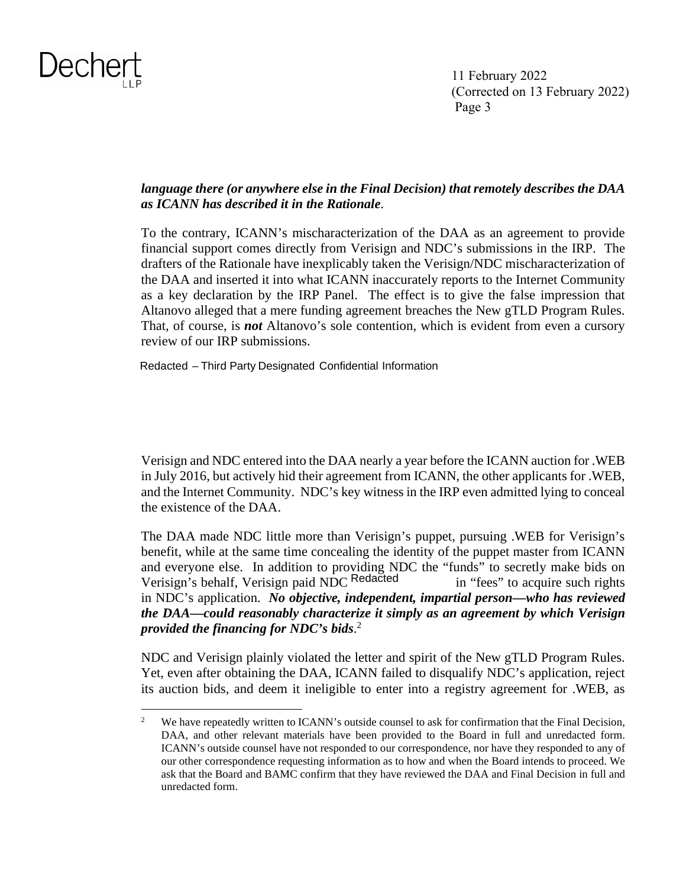

#### *language there (or anywhere else in the Final Decision) that remotely describes the DAA as ICANN has described it in the Rationale*.

To the contrary, ICANN's mischaracterization of the DAA as an agreement to provide financial support comes directly from Verisign and NDC's submissions in the IRP. The drafters of the Rationale have inexplicably taken the Verisign/NDC mischaracterization of the DAA and inserted it into what ICANN inaccurately reports to the Internet Community as a key declaration by the IRP Panel. The effect is to give the false impression that Altanovo alleged that a mere funding agreement breaches the New gTLD Program Rules. That, of course, is *not* Altanovo's sole contention, which is evident from even a cursory review of our IRP submissions.

Redacted – Third Party Designated Confidential Information

Verisign and NDC entered into the DAA nearly a year before the ICANN auction for .WEB in July 2016, but actively hid their agreement from ICANN, the other applicants for .WEB, and the Internet Community. NDC's key witness in the IRP even admitted lying to conceal the existence of the DAA.

The DAA made NDC little more than Verisign's puppet, pursuing .WEB for Verisign's benefit, while at the same time concealing the identity of the puppet master from ICANN and everyone else. In addition to providing NDC the "funds" to secretly make bids on Verisign's behalf, Verisign paid NDC Redacted in "fees" to acquire such rights in NDC's application. *No objective, independent, impartial person—who has reviewed the DAA—could reasonably characterize it simply as an agreement by which Verisign provided the financing for NDC's bids*. 2

NDC and Verisign plainly violated the letter and spirit of the New gTLD Program Rules. Yet, even after obtaining the DAA, ICANN failed to disqualify NDC's application, reject its auction bids, and deem it ineligible to enter into a registry agreement for .WEB, as

<sup>2</sup> We have repeatedly written to ICANN's outside counsel to ask for confirmation that the Final Decision, DAA, and other relevant materials have been provided to the Board in full and unredacted form. ICANN's outside counsel have not responded to our correspondence, nor have they responded to any of our other correspondence requesting information as to how and when the Board intends to proceed. We ask that the Board and BAMC confirm that they have reviewed the DAA and Final Decision in full and unredacted form.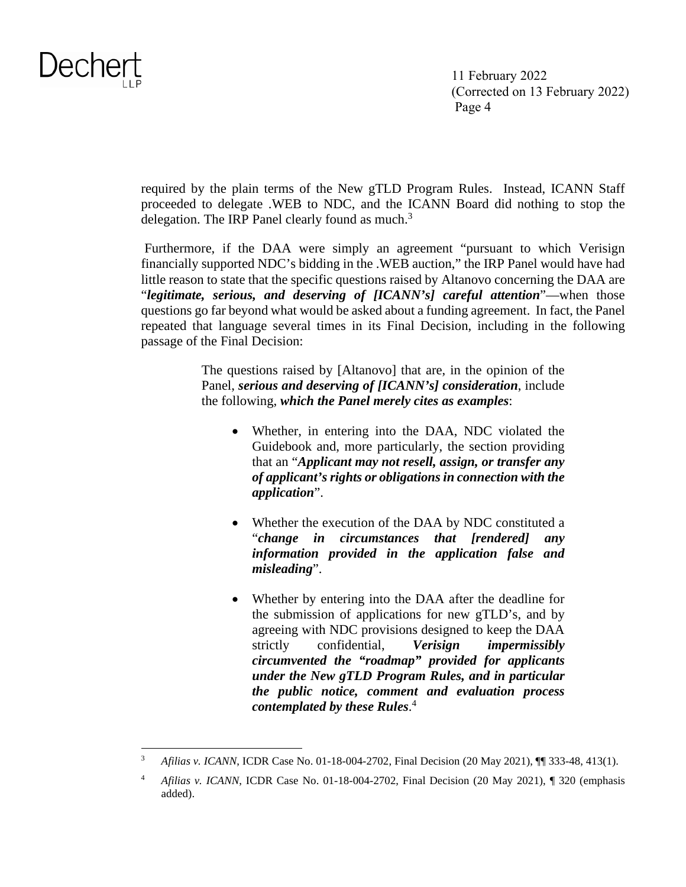

required by the plain terms of the New gTLD Program Rules. Instead, ICANN Staff proceeded to delegate .WEB to NDC, and the ICANN Board did nothing to stop the delegation. The IRP Panel clearly found as much. $3$ 

 Furthermore, if the DAA were simply an agreement "pursuant to which Verisign financially supported NDC's bidding in the .WEB auction," the IRP Panel would have had little reason to state that the specific questions raised by Altanovo concerning the DAA are "*legitimate, serious, and deserving of [ICANN's] careful attention*"—when those questions go far beyond what would be asked about a funding agreement. In fact, the Panel repeated that language several times in its Final Decision, including in the following passage of the Final Decision:

> The questions raised by [Altanovo] that are, in the opinion of the Panel, *serious and deserving of [ICANN's] consideration*, include the following, *which the Panel merely cites as examples*:

- Whether, in entering into the DAA, NDC violated the Guidebook and, more particularly, the section providing that an "*Applicant may not resell, assign, or transfer any of applicant's rights or obligations in connection with the application*".
- Whether the execution of the DAA by NDC constituted a "*change in circumstances that [rendered] any information provided in the application false and misleading*".
- Whether by entering into the DAA after the deadline for the submission of applications for new gTLD's, and by agreeing with NDC provisions designed to keep the DAA strictly confidential, *Verisign impermissibly circumvented the "roadmap" provided for applicants under the New gTLD Program Rules, and in particular the public notice, comment and evaluation process contemplated by these Rules*. 4

<sup>3</sup> *Afilias v. ICANN*, ICDR Case No. 01-18-004-2702, Final Decision (20 May 2021), ¶¶ 333-48, 413(1).

<sup>4</sup> *Afilias v. ICANN*, ICDR Case No. 01-18-004-2702, Final Decision (20 May 2021), ¶ 320 (emphasis added).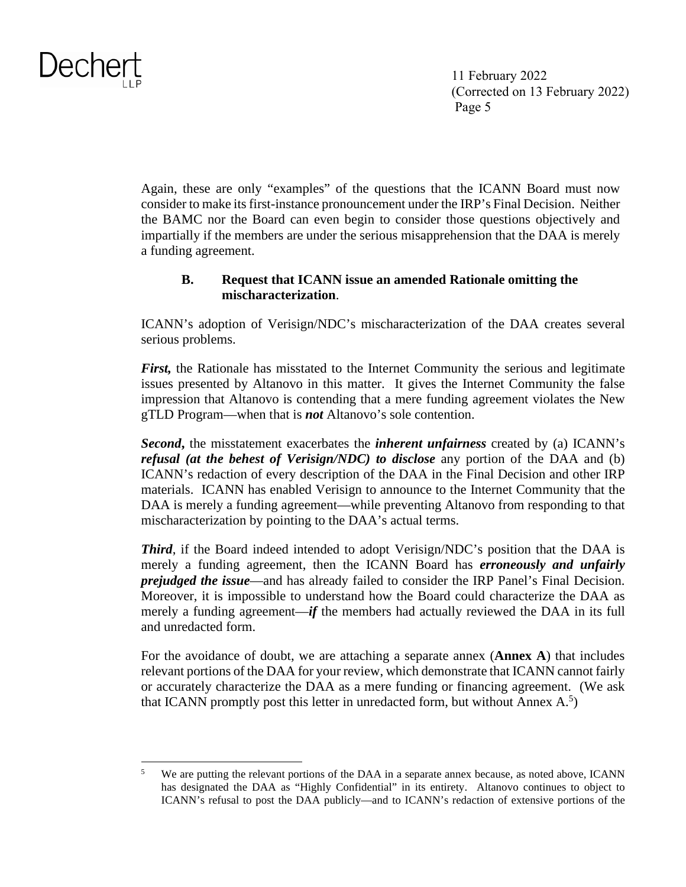

Again, these are only "examples" of the questions that the ICANN Board must now consider to make its first-instance pronouncement under the IRP's Final Decision. Neither the BAMC nor the Board can even begin to consider those questions objectively and impartially if the members are under the serious misapprehension that the DAA is merely a funding agreement.

#### **B. Request that ICANN issue an amended Rationale omitting the mischaracterization**.

ICANN's adoption of Verisign/NDC's mischaracterization of the DAA creates several serious problems.

*First*, the Rationale has misstated to the Internet Community the serious and legitimate issues presented by Altanovo in this matter. It gives the Internet Community the false impression that Altanovo is contending that a mere funding agreement violates the New gTLD Program—when that is *not* Altanovo's sole contention.

*Second***,** the misstatement exacerbates the *inherent unfairness* created by (a) ICANN's *refusal (at the behest of Verisign/NDC) to disclose* any portion of the DAA and (b) ICANN's redaction of every description of the DAA in the Final Decision and other IRP materials. ICANN has enabled Verisign to announce to the Internet Community that the DAA is merely a funding agreement—while preventing Altanovo from responding to that mischaracterization by pointing to the DAA's actual terms.

*Third*, if the Board indeed intended to adopt Verisign/NDC's position that the DAA is merely a funding agreement, then the ICANN Board has *erroneously and unfairly prejudged the issue*—and has already failed to consider the IRP Panel's Final Decision. Moreover, it is impossible to understand how the Board could characterize the DAA as merely a funding agreement—*if* the members had actually reviewed the DAA in its full and unredacted form.

For the avoidance of doubt, we are attaching a separate annex (**Annex A**) that includes relevant portions of the DAA for your review, which demonstrate that ICANN cannot fairly or accurately characterize the DAA as a mere funding or financing agreement. (We ask that ICANN promptly post this letter in unredacted form, but without Annex  $A$ <sup>5</sup>)

<sup>5</sup> We are putting the relevant portions of the DAA in a separate annex because, as noted above, ICANN has designated the DAA as "Highly Confidential" in its entirety. Altanovo continues to object to ICANN's refusal to post the DAA publicly—and to ICANN's redaction of extensive portions of the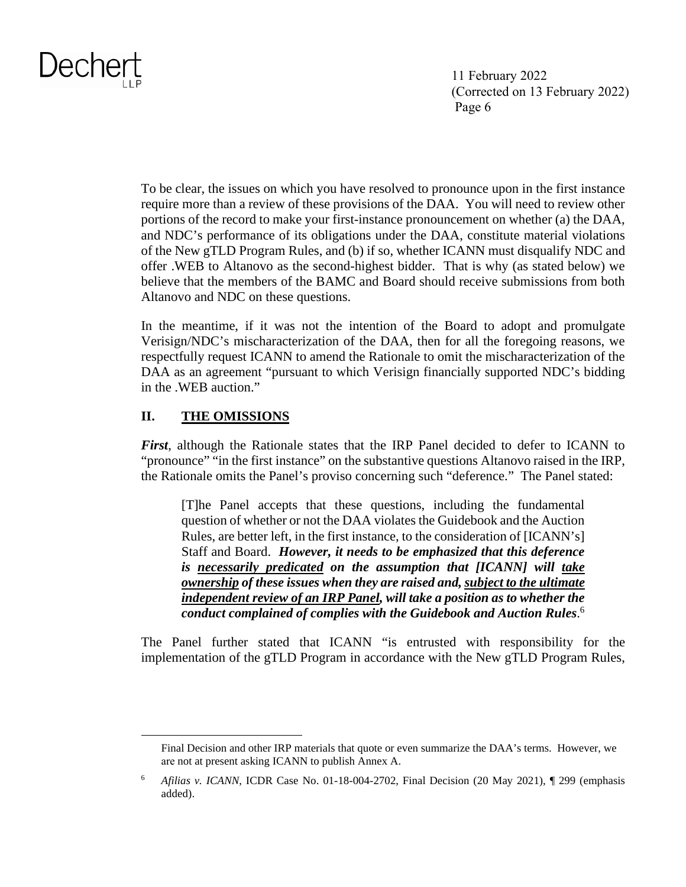11 February 2022 (Corrected on 13 February 2022) Page 6

To be clear, the issues on which you have resolved to pronounce upon in the first instance require more than a review of these provisions of the DAA. You will need to review other portions of the record to make your first-instance pronouncement on whether (a) the DAA, and NDC's performance of its obligations under the DAA, constitute material violations of the New gTLD Program Rules, and (b) if so, whether ICANN must disqualify NDC and offer .WEB to Altanovo as the second-highest bidder. That is why (as stated below) we believe that the members of the BAMC and Board should receive submissions from both Altanovo and NDC on these questions.

In the meantime, if it was not the intention of the Board to adopt and promulgate Verisign/NDC's mischaracterization of the DAA, then for all the foregoing reasons, we respectfully request ICANN to amend the Rationale to omit the mischaracterization of the DAA as an agreement "pursuant to which Verisign financially supported NDC's bidding in the .WEB auction."

#### **II. THE OMISSIONS**

*First*, although the Rationale states that the IRP Panel decided to defer to ICANN to "pronounce" "in the first instance" on the substantive questions Altanovo raised in the IRP, the Rationale omits the Panel's proviso concerning such "deference." The Panel stated:

[T]he Panel accepts that these questions, including the fundamental question of whether or not the DAA violates the Guidebook and the Auction Rules, are better left, in the first instance, to the consideration of [ICANN's] Staff and Board. *However, it needs to be emphasized that this deference is necessarily predicated on the assumption that [ICANN] will take ownership of these issues when they are raised and, subject to the ultimate independent review of an IRP Panel, will take a position as to whether the conduct complained of complies with the Guidebook and Auction Rules*. 6

The Panel further stated that ICANN "is entrusted with responsibility for the implementation of the gTLD Program in accordance with the New gTLD Program Rules,

Final Decision and other IRP materials that quote or even summarize the DAA's terms. However, we are not at present asking ICANN to publish Annex A.

<sup>6</sup> *Afilias v. ICANN*, ICDR Case No. 01-18-004-2702, Final Decision (20 May 2021), ¶ 299 (emphasis added).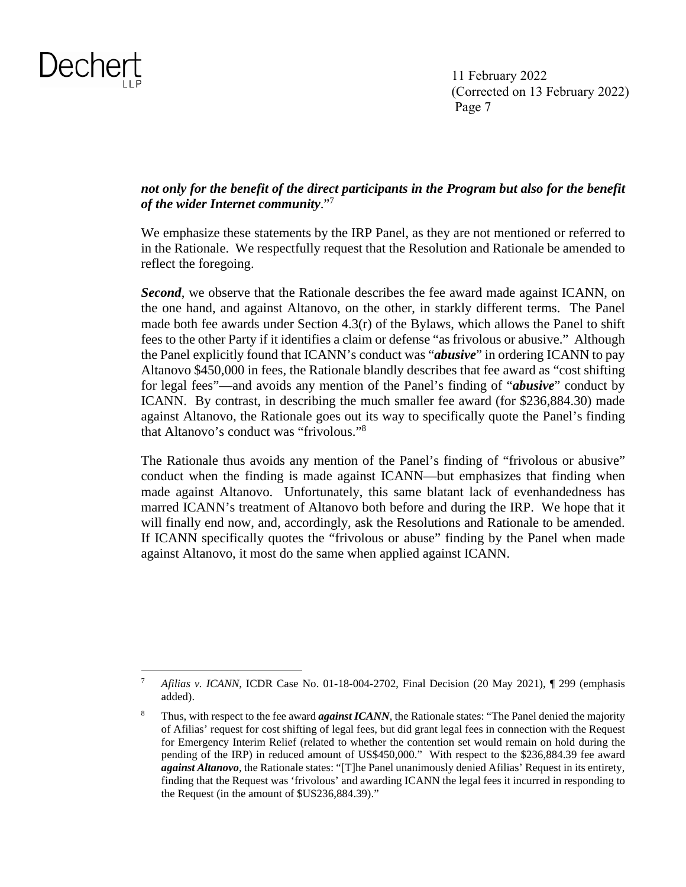

#### *not only for the benefit of the direct participants in the Program but also for the benefit of the wider Internet community*."<sup>7</sup>

We emphasize these statements by the IRP Panel, as they are not mentioned or referred to in the Rationale. We respectfully request that the Resolution and Rationale be amended to reflect the foregoing.

*Second*, we observe that the Rationale describes the fee award made against ICANN, on the one hand, and against Altanovo, on the other, in starkly different terms. The Panel made both fee awards under Section  $4.3(r)$  of the Bylaws, which allows the Panel to shift fees to the other Party if it identifies a claim or defense "as frivolous or abusive." Although the Panel explicitly found that ICANN's conduct was "*abusive*" in ordering ICANN to pay Altanovo \$450,000 in fees, the Rationale blandly describes that fee award as "cost shifting for legal fees"—and avoids any mention of the Panel's finding of "*abusive*" conduct by ICANN. By contrast, in describing the much smaller fee award (for \$236,884.30) made against Altanovo, the Rationale goes out its way to specifically quote the Panel's finding that Altanovo's conduct was "frivolous."<sup>8</sup>

The Rationale thus avoids any mention of the Panel's finding of "frivolous or abusive" conduct when the finding is made against ICANN—but emphasizes that finding when made against Altanovo. Unfortunately, this same blatant lack of evenhandedness has marred ICANN's treatment of Altanovo both before and during the IRP. We hope that it will finally end now, and, accordingly, ask the Resolutions and Rationale to be amended. If ICANN specifically quotes the "frivolous or abuse" finding by the Panel when made against Altanovo, it most do the same when applied against ICANN.

<sup>7</sup> *Afilias v. ICANN*, ICDR Case No. 01-18-004-2702, Final Decision (20 May 2021), ¶ 299 (emphasis added).

<sup>8</sup> Thus, with respect to the fee award *against ICANN*, the Rationale states: "The Panel denied the majority of Afilias' request for cost shifting of legal fees, but did grant legal fees in connection with the Request for Emergency Interim Relief (related to whether the contention set would remain on hold during the pending of the IRP) in reduced amount of US\$450,000." With respect to the \$236,884.39 fee award *against Altanovo*, the Rationale states: "[T]he Panel unanimously denied Afilias' Request in its entirety, finding that the Request was 'frivolous' and awarding ICANN the legal fees it incurred in responding to the Request (in the amount of \$US236,884.39)."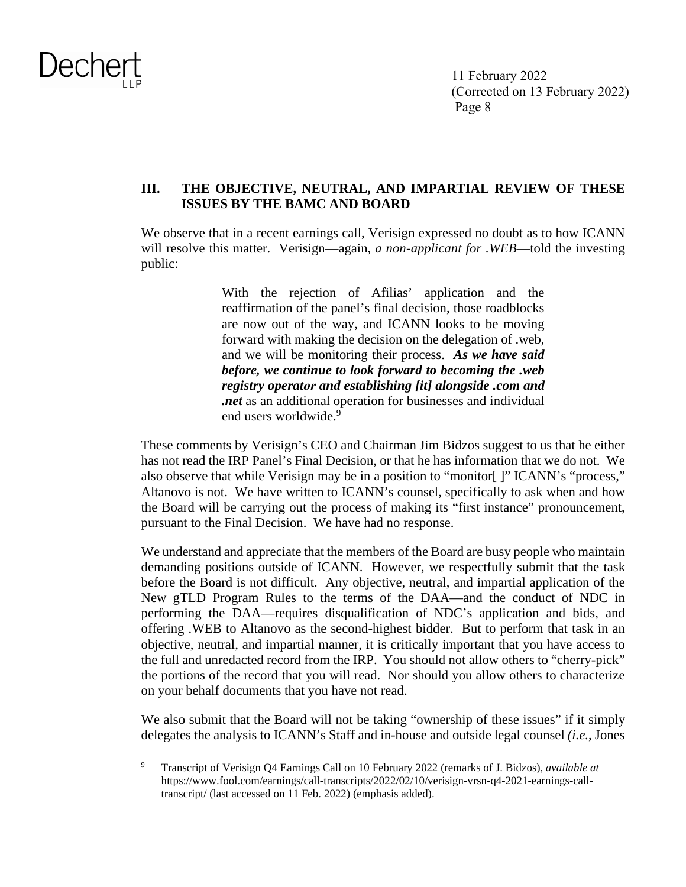

#### **III. THE OBJECTIVE, NEUTRAL, AND IMPARTIAL REVIEW OF THESE ISSUES BY THE BAMC AND BOARD**

We observe that in a recent earnings call, Verisign expressed no doubt as to how ICANN will resolve this matter. Verisign—again, *a non-applicant for .WEB*—told the investing public:

> With the rejection of Afilias' application and the reaffirmation of the panel's final decision, those roadblocks are now out of the way, and ICANN looks to be moving forward with making the decision on the delegation of .web, and we will be monitoring their process. *As we have said before, we continue to look forward to becoming the .web registry operator and establishing [it] alongside .com and .net* as an additional operation for businesses and individual end users worldwide.<sup>9</sup>

These comments by Verisign's CEO and Chairman Jim Bidzos suggest to us that he either has not read the IRP Panel's Final Decision, or that he has information that we do not. We also observe that while Verisign may be in a position to "monitor[ ]" ICANN's "process," Altanovo is not. We have written to ICANN's counsel, specifically to ask when and how the Board will be carrying out the process of making its "first instance" pronouncement, pursuant to the Final Decision. We have had no response.

We understand and appreciate that the members of the Board are busy people who maintain demanding positions outside of ICANN. However, we respectfully submit that the task before the Board is not difficult. Any objective, neutral, and impartial application of the New gTLD Program Rules to the terms of the DAA—and the conduct of NDC in performing the DAA—requires disqualification of NDC's application and bids, and offering .WEB to Altanovo as the second-highest bidder. But to perform that task in an objective, neutral, and impartial manner, it is critically important that you have access to the full and unredacted record from the IRP. You should not allow others to "cherry-pick" the portions of the record that you will read. Nor should you allow others to characterize on your behalf documents that you have not read.

We also submit that the Board will not be taking "ownership of these issues" if it simply delegates the analysis to ICANN's Staff and in-house and outside legal counsel *(i.e.*, Jones

<sup>9</sup> Transcript of Verisign Q4 Earnings Call on 10 February 2022 (remarks of J. Bidzos), *available at* https://www.fool.com/earnings/call-transcripts/2022/02/10/verisign-vrsn-q4-2021-earnings-calltranscript/ (last accessed on 11 Feb. 2022) (emphasis added).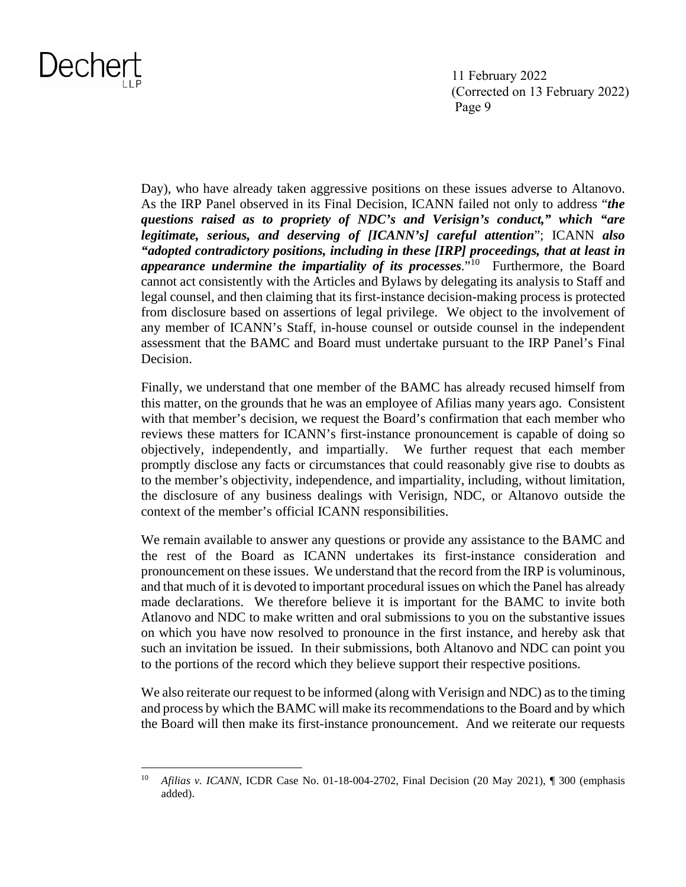11 February 2022 (Corrected on 13 February 2022) Page 9

Day), who have already taken aggressive positions on these issues adverse to Altanovo. As the IRP Panel observed in its Final Decision, ICANN failed not only to address "*the questions raised as to propriety of NDC's and Verisign's conduct," which "are legitimate, serious, and deserving of [ICANN's] careful attention*"; ICANN *also "adopted contradictory positions, including in these [IRP] proceedings, that at least in appearance undermine the impartiality of its processes*."<sup>10</sup> Furthermore, the Board cannot act consistently with the Articles and Bylaws by delegating its analysis to Staff and legal counsel, and then claiming that its first-instance decision-making process is protected from disclosure based on assertions of legal privilege. We object to the involvement of any member of ICANN's Staff, in-house counsel or outside counsel in the independent assessment that the BAMC and Board must undertake pursuant to the IRP Panel's Final Decision.

Finally, we understand that one member of the BAMC has already recused himself from this matter, on the grounds that he was an employee of Afilias many years ago. Consistent with that member's decision, we request the Board's confirmation that each member who reviews these matters for ICANN's first-instance pronouncement is capable of doing so objectively, independently, and impartially. We further request that each member promptly disclose any facts or circumstances that could reasonably give rise to doubts as to the member's objectivity, independence, and impartiality, including, without limitation, the disclosure of any business dealings with Verisign, NDC, or Altanovo outside the context of the member's official ICANN responsibilities.

We remain available to answer any questions or provide any assistance to the BAMC and the rest of the Board as ICANN undertakes its first-instance consideration and pronouncement on these issues. We understand that the record from the IRP is voluminous, and that much of it is devoted to important procedural issues on which the Panel has already made declarations. We therefore believe it is important for the BAMC to invite both Atlanovo and NDC to make written and oral submissions to you on the substantive issues on which you have now resolved to pronounce in the first instance, and hereby ask that such an invitation be issued. In their submissions, both Altanovo and NDC can point you to the portions of the record which they believe support their respective positions.

We also reiterate our request to be informed (along with Verisign and NDC) as to the timing and process by which the BAMC will make its recommendations to the Board and by which the Board will then make its first-instance pronouncement. And we reiterate our requests

<sup>&</sup>lt;sup>10</sup> *Afilias v. ICANN*, ICDR Case No. 01-18-004-2702, Final Decision (20 May 2021), ¶ 300 (emphasis added).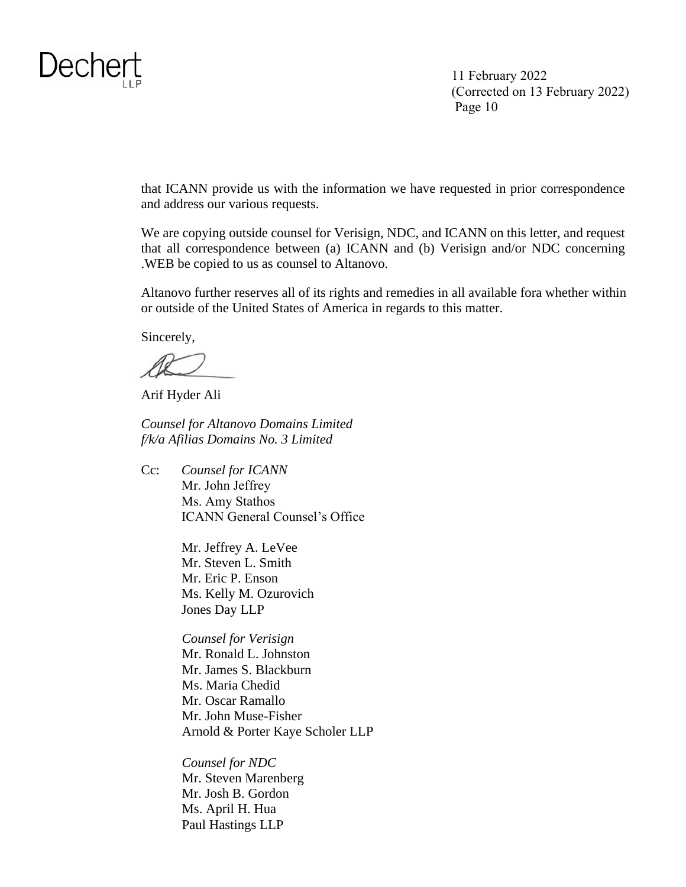

that ICANN provide us with the information we have requested in prior correspondence and address our various requests.

We are copying outside counsel for Verisign, NDC, and ICANN on this letter, and request that all correspondence between (a) ICANN and (b) Verisign and/or NDC concerning .WEB be copied to us as counsel to Altanovo.

Altanovo further reserves all of its rights and remedies in all available fora whether within or outside of the United States of America in regards to this matter.

Sincerely,

Arif Hyder Ali

*Counsel for Altanovo Domains Limited f/k/a Afilias Domains No. 3 Limited* 

Cc: *Counsel for ICANN* Mr. John Jeffrey Ms. Amy Stathos ICANN General Counsel's Office

> Mr. Jeffrey A. LeVee Mr. Steven L. Smith Mr. Eric P. Enson Ms. Kelly M. Ozurovich Jones Day LLP

*Counsel for Verisign*  Mr. Ronald L. Johnston Mr. James S. Blackburn Ms. Maria Chedid Mr. Oscar Ramallo Mr. John Muse-Fisher Arnold & Porter Kaye Scholer LLP

*Counsel for NDC*  Mr. Steven Marenberg Mr. Josh B. Gordon Ms. April H. Hua Paul Hastings LLP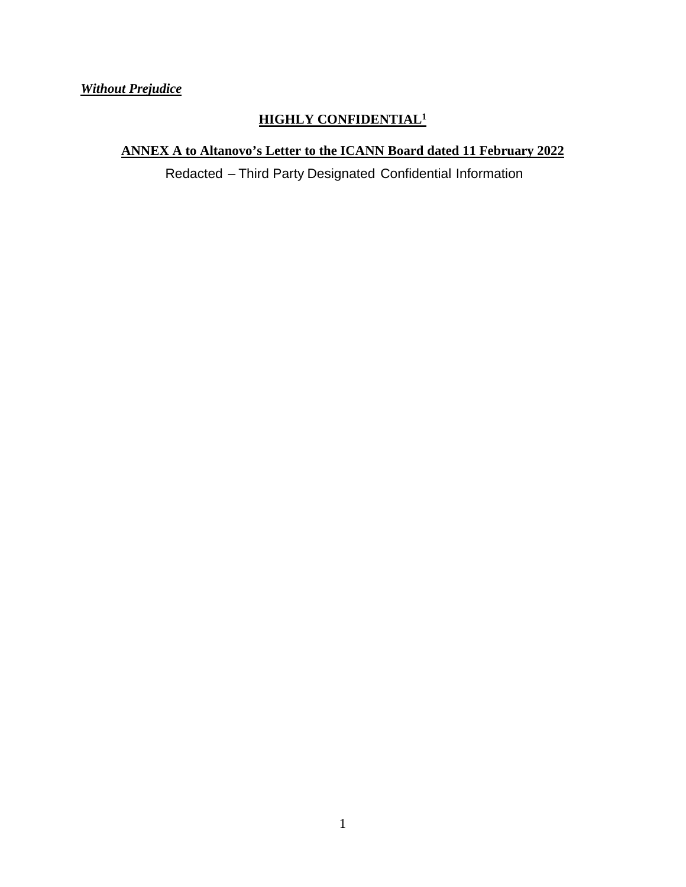*Without Prejudice* 

### **HIGHLY CONFIDENTIAL<sup>1</sup>**

**ANNEX A to Altanovo's Letter to the ICANN Board dated 11 February 2022**